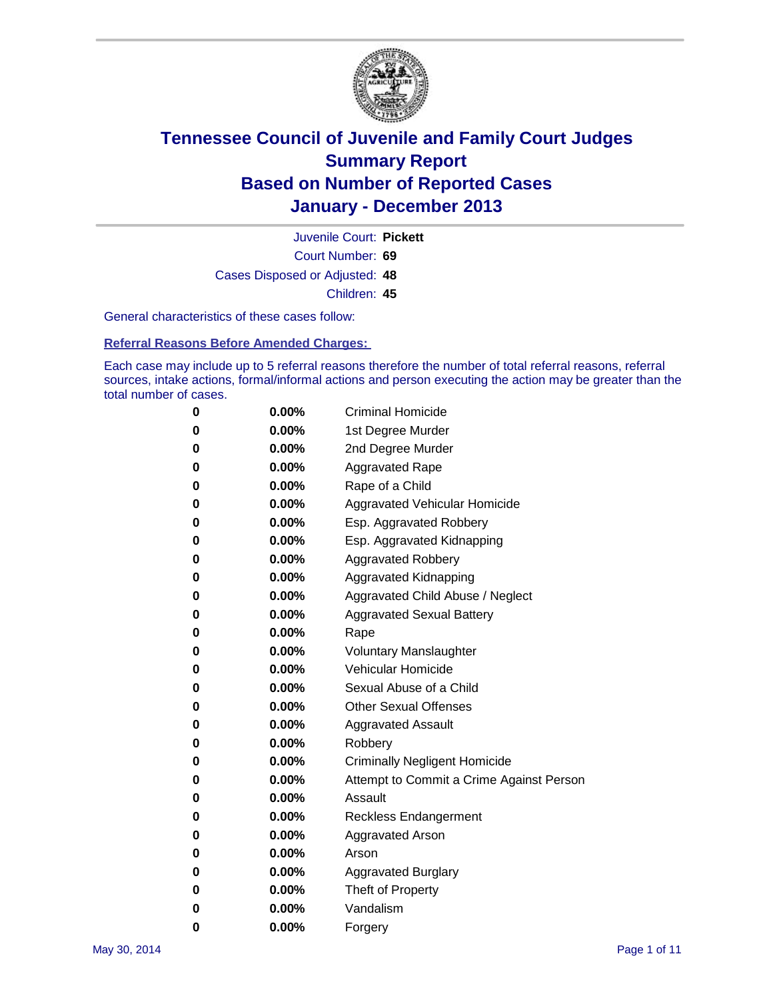

Court Number: **69** Juvenile Court: **Pickett** Cases Disposed or Adjusted: **48** Children: **45**

General characteristics of these cases follow:

**Referral Reasons Before Amended Charges:** 

Each case may include up to 5 referral reasons therefore the number of total referral reasons, referral sources, intake actions, formal/informal actions and person executing the action may be greater than the total number of cases.

| 0 | 0.00%    | <b>Criminal Homicide</b>                 |
|---|----------|------------------------------------------|
| 0 | 0.00%    | 1st Degree Murder                        |
| 0 | 0.00%    | 2nd Degree Murder                        |
| 0 | $0.00\%$ | <b>Aggravated Rape</b>                   |
| 0 | 0.00%    | Rape of a Child                          |
| 0 | 0.00%    | Aggravated Vehicular Homicide            |
| 0 | $0.00\%$ | Esp. Aggravated Robbery                  |
| 0 | 0.00%    | Esp. Aggravated Kidnapping               |
| 0 | 0.00%    | <b>Aggravated Robbery</b>                |
| 0 | $0.00\%$ | Aggravated Kidnapping                    |
| 0 | $0.00\%$ | Aggravated Child Abuse / Neglect         |
| 0 | 0.00%    | <b>Aggravated Sexual Battery</b>         |
| 0 | $0.00\%$ | Rape                                     |
| 0 | $0.00\%$ | <b>Voluntary Manslaughter</b>            |
| 0 | $0.00\%$ | Vehicular Homicide                       |
| 0 | 0.00%    | Sexual Abuse of a Child                  |
| 0 | $0.00\%$ | <b>Other Sexual Offenses</b>             |
| 0 | 0.00%    | <b>Aggravated Assault</b>                |
| 0 | $0.00\%$ | Robbery                                  |
| 0 | 0.00%    | <b>Criminally Negligent Homicide</b>     |
| 0 | 0.00%    | Attempt to Commit a Crime Against Person |
| 0 | $0.00\%$ | Assault                                  |
| 0 | 0.00%    | <b>Reckless Endangerment</b>             |
| 0 | 0.00%    | Aggravated Arson                         |
| 0 | $0.00\%$ | Arson                                    |
| 0 | 0.00%    | <b>Aggravated Burglary</b>               |
| 0 | 0.00%    | Theft of Property                        |
| 0 | 0.00%    | Vandalism                                |
| 0 | 0.00%    | Forgery                                  |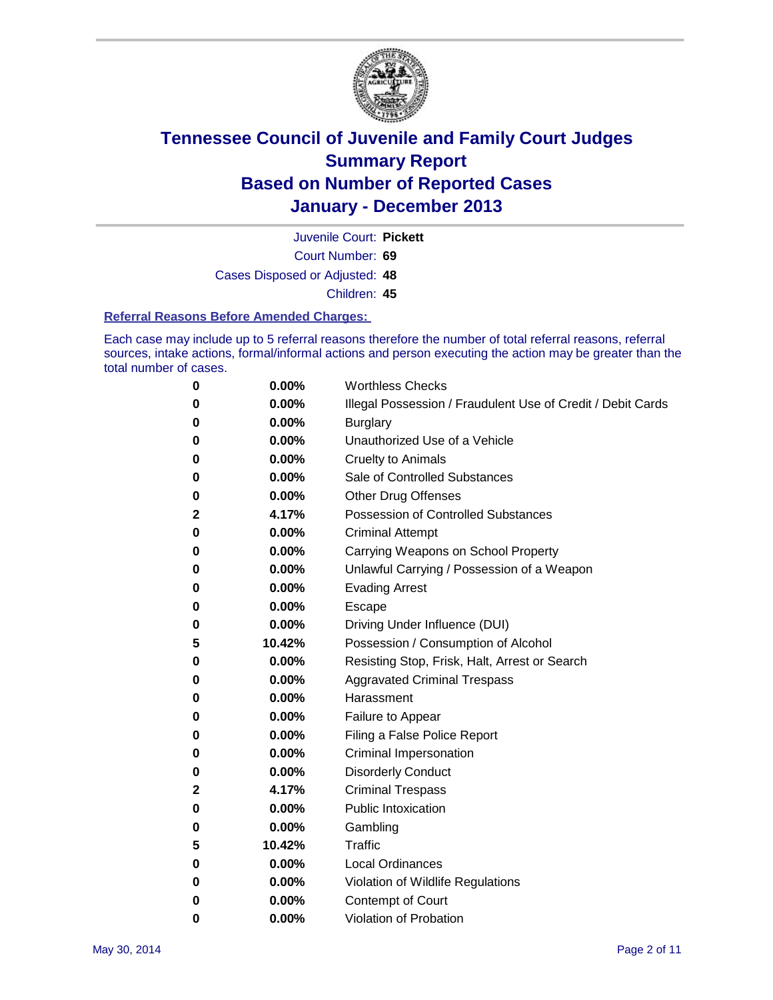

Court Number: **69** Juvenile Court: **Pickett** Cases Disposed or Adjusted: **48**

Children: **45**

#### **Referral Reasons Before Amended Charges:**

Each case may include up to 5 referral reasons therefore the number of total referral reasons, referral sources, intake actions, formal/informal actions and person executing the action may be greater than the total number of cases.

| 0 | 0.00%    | <b>Worthless Checks</b>                                     |
|---|----------|-------------------------------------------------------------|
| 0 | 0.00%    | Illegal Possession / Fraudulent Use of Credit / Debit Cards |
| 0 | 0.00%    | <b>Burglary</b>                                             |
| 0 | 0.00%    | Unauthorized Use of a Vehicle                               |
| 0 | 0.00%    | <b>Cruelty to Animals</b>                                   |
| 0 | 0.00%    | Sale of Controlled Substances                               |
| 0 | 0.00%    | <b>Other Drug Offenses</b>                                  |
| 2 | 4.17%    | Possession of Controlled Substances                         |
| 0 | 0.00%    | <b>Criminal Attempt</b>                                     |
| 0 | 0.00%    | Carrying Weapons on School Property                         |
| 0 | 0.00%    | Unlawful Carrying / Possession of a Weapon                  |
| 0 | 0.00%    | <b>Evading Arrest</b>                                       |
| 0 | 0.00%    | Escape                                                      |
| 0 | 0.00%    | Driving Under Influence (DUI)                               |
| 5 | 10.42%   | Possession / Consumption of Alcohol                         |
| 0 | 0.00%    | Resisting Stop, Frisk, Halt, Arrest or Search               |
| 0 | $0.00\%$ | <b>Aggravated Criminal Trespass</b>                         |
| 0 | 0.00%    | Harassment                                                  |
| 0 | $0.00\%$ | Failure to Appear                                           |
| 0 | 0.00%    | Filing a False Police Report                                |
| 0 | $0.00\%$ | Criminal Impersonation                                      |
| 0 | 0.00%    | <b>Disorderly Conduct</b>                                   |
| 2 | 4.17%    | <b>Criminal Trespass</b>                                    |
| 0 | 0.00%    | <b>Public Intoxication</b>                                  |
| 0 | 0.00%    | Gambling                                                    |
| 5 | 10.42%   | <b>Traffic</b>                                              |
| 0 | 0.00%    | <b>Local Ordinances</b>                                     |
| 0 | 0.00%    | Violation of Wildlife Regulations                           |
| 0 | 0.00%    | Contempt of Court                                           |
| 0 | 0.00%    | Violation of Probation                                      |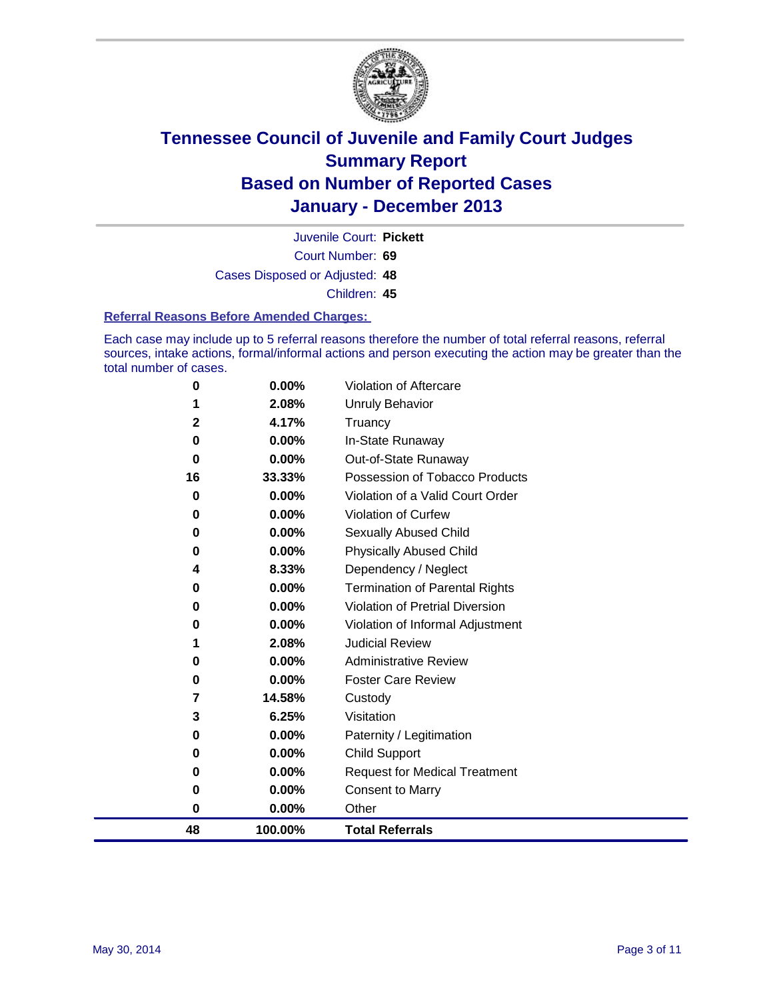

Court Number: **69** Juvenile Court: **Pickett** Cases Disposed or Adjusted: **48** Children: **45**

#### **Referral Reasons Before Amended Charges:**

Each case may include up to 5 referral reasons therefore the number of total referral reasons, referral sources, intake actions, formal/informal actions and person executing the action may be greater than the total number of cases.

| 0           | 0.00%    | Violation of Aftercare                 |
|-------------|----------|----------------------------------------|
| 1           | 2.08%    | Unruly Behavior                        |
| $\mathbf 2$ | 4.17%    | Truancy                                |
| 0           | 0.00%    | In-State Runaway                       |
| 0           | 0.00%    | Out-of-State Runaway                   |
| 16          | 33.33%   | Possession of Tobacco Products         |
| 0           | 0.00%    | Violation of a Valid Court Order       |
| 0           | 0.00%    | Violation of Curfew                    |
| 0           | $0.00\%$ | Sexually Abused Child                  |
| 0           | 0.00%    | <b>Physically Abused Child</b>         |
| 4           | 8.33%    | Dependency / Neglect                   |
| 0           | $0.00\%$ | <b>Termination of Parental Rights</b>  |
| 0           | 0.00%    | <b>Violation of Pretrial Diversion</b> |
| 0           | 0.00%    | Violation of Informal Adjustment       |
| 1           | 2.08%    | <b>Judicial Review</b>                 |
| 0           | 0.00%    | <b>Administrative Review</b>           |
| 0           | 0.00%    | <b>Foster Care Review</b>              |
| 7           | 14.58%   | Custody                                |
| 3           | 6.25%    | Visitation                             |
| 0           | 0.00%    | Paternity / Legitimation               |
| 0           | 0.00%    | Child Support                          |
| 0           | 0.00%    | <b>Request for Medical Treatment</b>   |
| 0           | 0.00%    | <b>Consent to Marry</b>                |
| 0           | $0.00\%$ | Other                                  |
| 48          | 100.00%  | <b>Total Referrals</b>                 |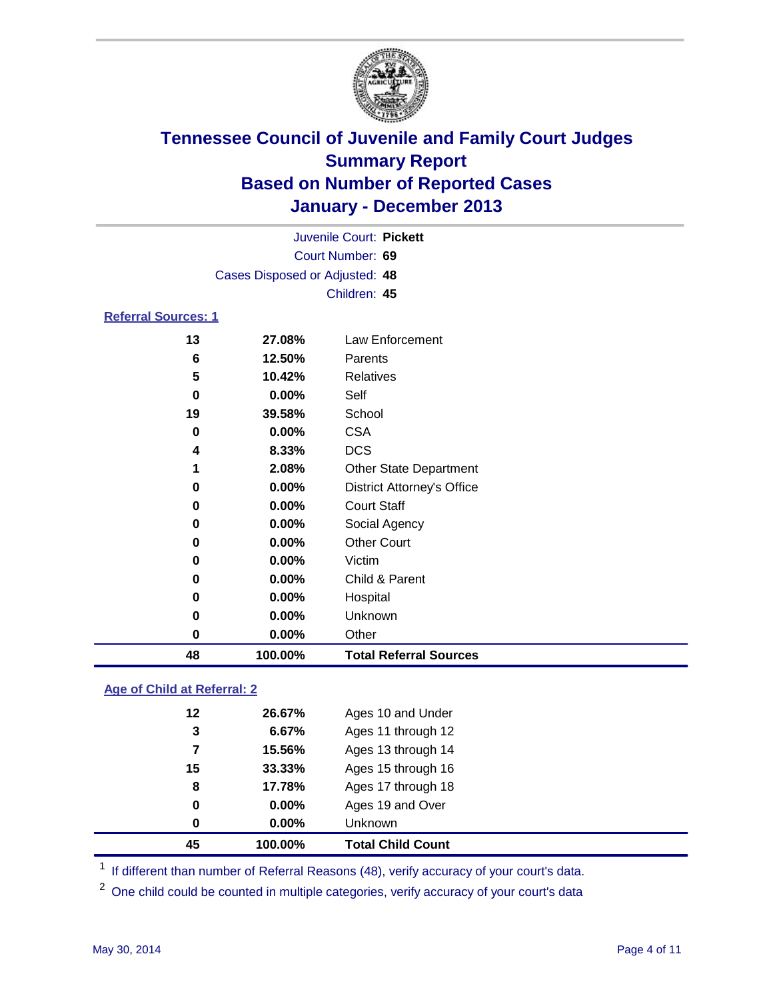

|                            |                                | Juvenile Court: Pickett |  |  |  |  |
|----------------------------|--------------------------------|-------------------------|--|--|--|--|
|                            | Court Number: 69               |                         |  |  |  |  |
|                            | Cases Disposed or Adjusted: 48 |                         |  |  |  |  |
|                            |                                | Children: 45            |  |  |  |  |
| <b>Referral Sources: 1</b> |                                |                         |  |  |  |  |
| 13                         | 27.08%                         | Law Enforcement         |  |  |  |  |
| 6                          | 12.50%                         | Parents                 |  |  |  |  |

| 48       | 100.00%  | <b>Total Referral Sources</b>     |
|----------|----------|-----------------------------------|
| 0        | 0.00%    | Other                             |
| 0        | 0.00%    | Unknown                           |
| 0        | 0.00%    | Hospital                          |
| $\bf{0}$ | 0.00%    | Child & Parent                    |
| 0        | 0.00%    | Victim                            |
| 0        | $0.00\%$ | <b>Other Court</b>                |
| 0        | 0.00%    | Social Agency                     |
| $\bf{0}$ | 0.00%    | <b>Court Staff</b>                |
| $\bf{0}$ | 0.00%    | <b>District Attorney's Office</b> |
| 1        | 2.08%    | <b>Other State Department</b>     |
| 4        | 8.33%    | <b>DCS</b>                        |
| 0        | 0.00%    | <b>CSA</b>                        |
| 19       | 39.58%   | School                            |
| 0        | 0.00%    | Self                              |
| 5        | 10.42%   | <b>Relatives</b>                  |
|          |          |                                   |

### **Age of Child at Referral: 2**

| 0<br>0 | 0.00%<br>0.00% | Ages 19 and Over<br><b>Unknown</b> |  |
|--------|----------------|------------------------------------|--|
|        |                |                                    |  |
|        |                |                                    |  |
| 8      | 17.78%         | Ages 17 through 18                 |  |
| 15     | 33.33%         | Ages 15 through 16                 |  |
| 7      | 15.56%         | Ages 13 through 14                 |  |
| 3      | 6.67%          | Ages 11 through 12                 |  |
| 12     | 26.67%         | Ages 10 and Under                  |  |
|        |                |                                    |  |

<sup>1</sup> If different than number of Referral Reasons (48), verify accuracy of your court's data.

<sup>2</sup> One child could be counted in multiple categories, verify accuracy of your court's data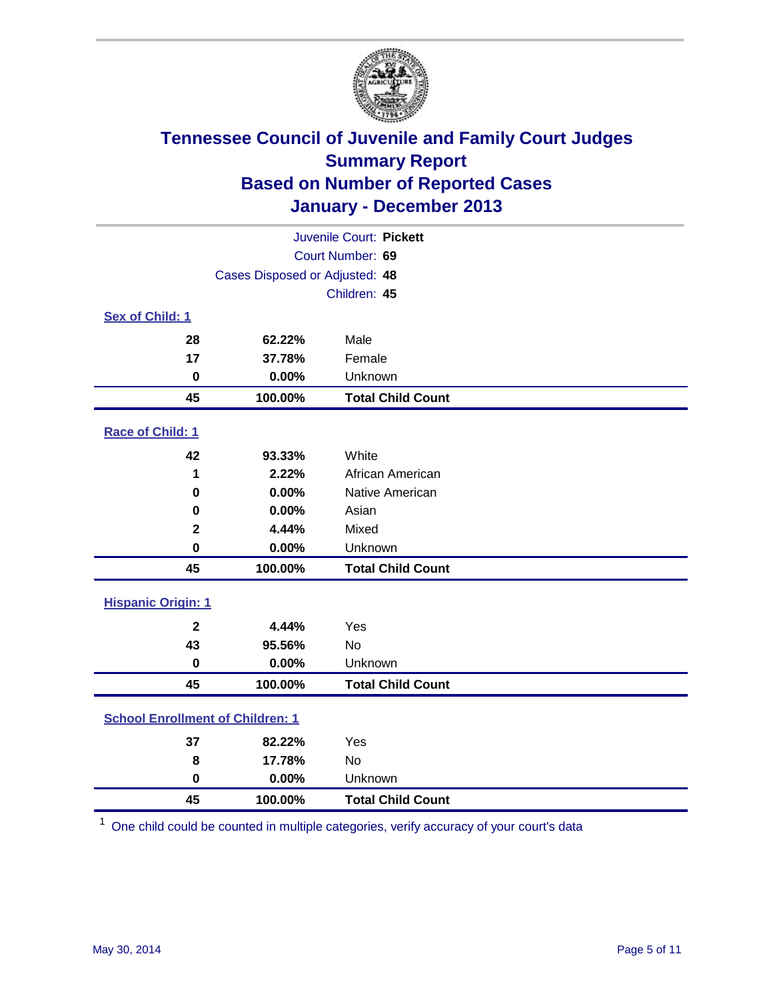

| Juvenile Court: Pickett                 |                                |                          |  |  |  |
|-----------------------------------------|--------------------------------|--------------------------|--|--|--|
|                                         | Court Number: 69               |                          |  |  |  |
|                                         | Cases Disposed or Adjusted: 48 |                          |  |  |  |
| Children: 45                            |                                |                          |  |  |  |
| Sex of Child: 1                         |                                |                          |  |  |  |
| 28                                      | 62.22%                         | Male                     |  |  |  |
| 17                                      | 37.78%                         | Female                   |  |  |  |
| $\mathbf 0$                             | 0.00%                          | Unknown                  |  |  |  |
| 45                                      | 100.00%                        | <b>Total Child Count</b> |  |  |  |
| Race of Child: 1                        |                                |                          |  |  |  |
| 42                                      | 93.33%                         | White                    |  |  |  |
| 1                                       | 2.22%                          | African American         |  |  |  |
| $\bf{0}$                                | 0.00%                          | Native American          |  |  |  |
| 0                                       | 0.00%                          | Asian                    |  |  |  |
| $\mathbf{2}$                            | 4.44%                          | Mixed                    |  |  |  |
| $\bf{0}$                                | 0.00%                          | Unknown                  |  |  |  |
| 45                                      | 100.00%                        | <b>Total Child Count</b> |  |  |  |
| <b>Hispanic Origin: 1</b>               |                                |                          |  |  |  |
| $\mathbf{2}$                            | 4.44%                          | Yes                      |  |  |  |
| 43                                      | 95.56%                         | <b>No</b>                |  |  |  |
| $\pmb{0}$                               | 0.00%                          | Unknown                  |  |  |  |
| 45                                      | 100.00%                        | <b>Total Child Count</b> |  |  |  |
| <b>School Enrollment of Children: 1</b> |                                |                          |  |  |  |
| 37                                      | 82.22%                         | Yes                      |  |  |  |
| 8                                       | 17.78%                         | <b>No</b>                |  |  |  |
| $\bf{0}$                                | 0.00%                          | Unknown                  |  |  |  |
| 45                                      | 100.00%                        | <b>Total Child Count</b> |  |  |  |

One child could be counted in multiple categories, verify accuracy of your court's data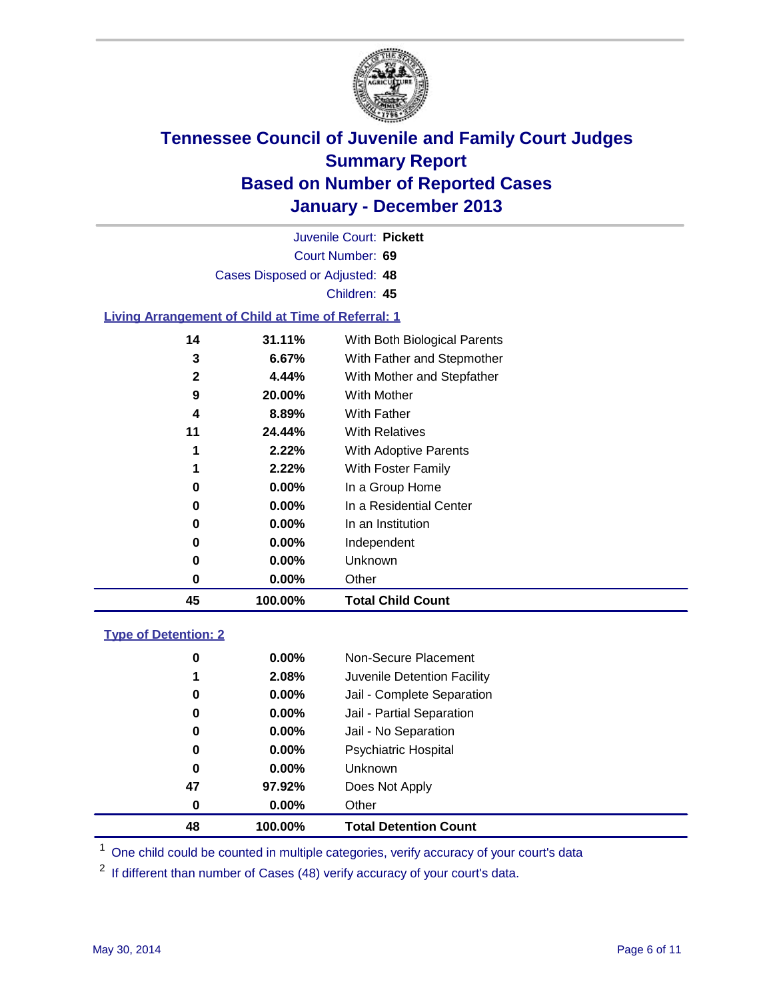

Court Number: **69** Juvenile Court: **Pickett** Cases Disposed or Adjusted: **48** Children: **45**

### **Living Arrangement of Child at Time of Referral: 1**

| 45 | 100.00%  | <b>Total Child Count</b>     |  |
|----|----------|------------------------------|--|
| 0  | $0.00\%$ | Other                        |  |
| 0  | $0.00\%$ | <b>Unknown</b>               |  |
| 0  | $0.00\%$ | Independent                  |  |
| 0  | $0.00\%$ | In an Institution            |  |
| 0  | $0.00\%$ | In a Residential Center      |  |
| 0  | $0.00\%$ | In a Group Home              |  |
| 1  | 2.22%    | With Foster Family           |  |
| 1  | 2.22%    | With Adoptive Parents        |  |
| 11 | 24.44%   | <b>With Relatives</b>        |  |
| 4  | 8.89%    | With Father                  |  |
| 9  | 20.00%   | With Mother                  |  |
| 2  | 4.44%    | With Mother and Stepfather   |  |
| 3  | $6.67\%$ | With Father and Stepmother   |  |
| 14 | 31.11%   | With Both Biological Parents |  |
|    |          |                              |  |

#### **Type of Detention: 2**

| 48 | 100.00%  | <b>Total Detention Count</b> |
|----|----------|------------------------------|
| 0  | 0.00%    | Other                        |
| 47 | 97.92%   | Does Not Apply               |
| 0  | $0.00\%$ | <b>Unknown</b>               |
| 0  | $0.00\%$ | <b>Psychiatric Hospital</b>  |
| 0  | 0.00%    | Jail - No Separation         |
| 0  | 0.00%    | Jail - Partial Separation    |
| 0  | 0.00%    | Jail - Complete Separation   |
| 1  | 2.08%    | Juvenile Detention Facility  |
| 0  | 0.00%    | Non-Secure Placement         |
|    |          |                              |

<sup>1</sup> One child could be counted in multiple categories, verify accuracy of your court's data

If different than number of Cases (48) verify accuracy of your court's data.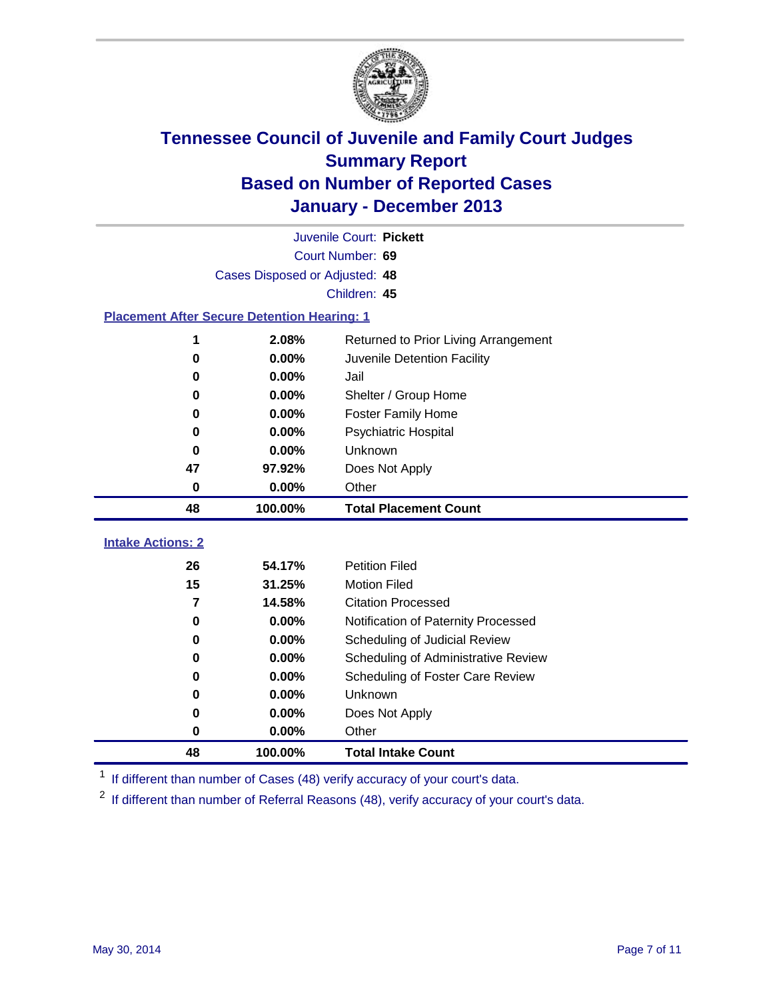

|                                                    | Juvenile Court: Pickett                       |                                     |  |  |  |  |  |
|----------------------------------------------------|-----------------------------------------------|-------------------------------------|--|--|--|--|--|
|                                                    | Court Number: 69                              |                                     |  |  |  |  |  |
|                                                    | Cases Disposed or Adjusted: 48                |                                     |  |  |  |  |  |
|                                                    | Children: 45                                  |                                     |  |  |  |  |  |
| <b>Placement After Secure Detention Hearing: 1</b> |                                               |                                     |  |  |  |  |  |
| 1                                                  | 2.08%<br>Returned to Prior Living Arrangement |                                     |  |  |  |  |  |
| $\bf{0}$                                           | 0.00%<br>Juvenile Detention Facility          |                                     |  |  |  |  |  |
| 0                                                  | 0.00%<br>Jail                                 |                                     |  |  |  |  |  |
| $\bf{0}$                                           | 0.00%<br>Shelter / Group Home                 |                                     |  |  |  |  |  |
| $\bf{0}$                                           | 0.00%                                         | <b>Foster Family Home</b>           |  |  |  |  |  |
| $\bf{0}$                                           | 0.00%                                         | Psychiatric Hospital                |  |  |  |  |  |
| 0                                                  | 0.00%                                         | Unknown                             |  |  |  |  |  |
| 47                                                 | 97.92%<br>Does Not Apply                      |                                     |  |  |  |  |  |
| $\bf{0}$                                           | 0.00%                                         | Other                               |  |  |  |  |  |
|                                                    |                                               |                                     |  |  |  |  |  |
| 48                                                 | 100.00%                                       | <b>Total Placement Count</b>        |  |  |  |  |  |
| <b>Intake Actions: 2</b>                           |                                               |                                     |  |  |  |  |  |
| 26                                                 | 54.17%                                        | <b>Petition Filed</b>               |  |  |  |  |  |
| 15                                                 | 31.25%                                        | <b>Motion Filed</b>                 |  |  |  |  |  |
| $\overline{7}$                                     | 14.58%                                        | <b>Citation Processed</b>           |  |  |  |  |  |
| $\bf{0}$                                           | 0.00%                                         | Notification of Paternity Processed |  |  |  |  |  |
| $\bf{0}$                                           | 0.00%                                         | Scheduling of Judicial Review       |  |  |  |  |  |
| $\bf{0}$                                           | 0.00%                                         | Scheduling of Administrative Review |  |  |  |  |  |
| 0                                                  | 0.00%                                         | Scheduling of Foster Care Review    |  |  |  |  |  |
| 0                                                  | 0.00%                                         | Unknown                             |  |  |  |  |  |
| $\bf{0}$                                           | 0.00%                                         | Does Not Apply                      |  |  |  |  |  |
| $\bf{0}$                                           | 0.00%                                         | Other                               |  |  |  |  |  |

<sup>1</sup> If different than number of Cases (48) verify accuracy of your court's data.

<sup>2</sup> If different than number of Referral Reasons (48), verify accuracy of your court's data.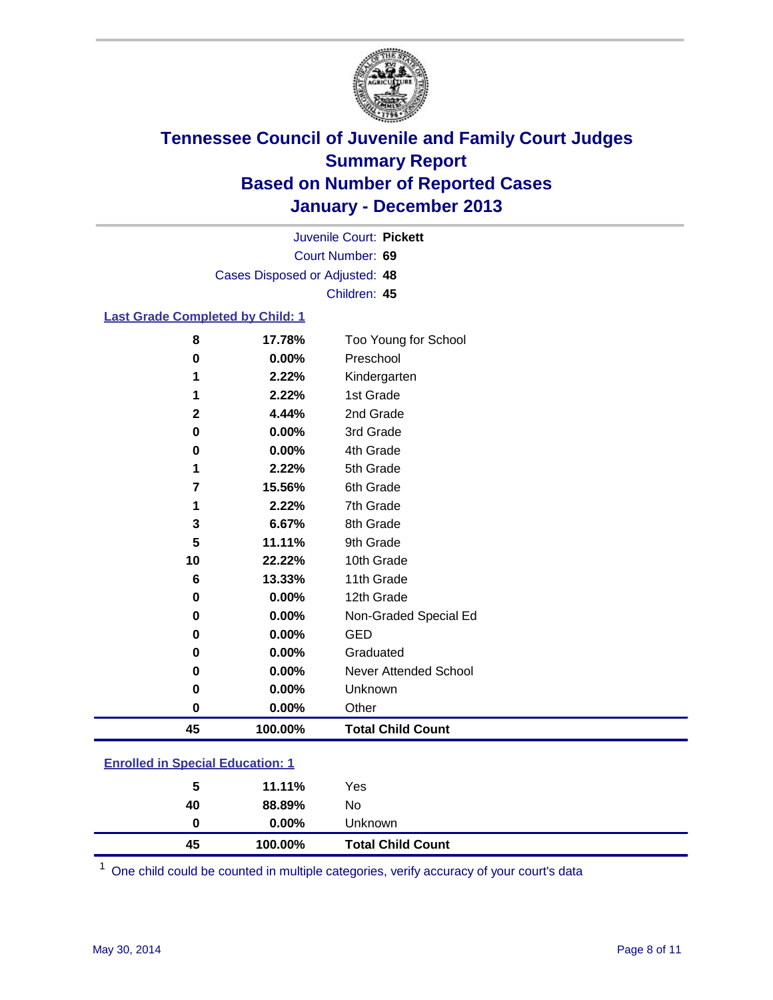

Court Number: **69** Juvenile Court: **Pickett** Cases Disposed or Adjusted: **48** Children: **45**

### **Last Grade Completed by Child: 1**

| 8           | 17.78%  | Too Young for School     |
|-------------|---------|--------------------------|
| 0           | 0.00%   | Preschool                |
| 1           | 2.22%   | Kindergarten             |
| 1           | 2.22%   | 1st Grade                |
| $\mathbf 2$ | 4.44%   | 2nd Grade                |
| 0           | 0.00%   | 3rd Grade                |
| $\pmb{0}$   | 0.00%   | 4th Grade                |
| 1           | 2.22%   | 5th Grade                |
| 7           | 15.56%  | 6th Grade                |
| 1           | 2.22%   | 7th Grade                |
| 3           | 6.67%   | 8th Grade                |
| 5           | 11.11%  | 9th Grade                |
| 10          | 22.22%  | 10th Grade               |
| 6           | 13.33%  | 11th Grade               |
| 0           | 0.00%   | 12th Grade               |
| 0           | 0.00%   | Non-Graded Special Ed    |
| 0           | 0.00%   | <b>GED</b>               |
| 0           | 0.00%   | Graduated                |
| 0           | 0.00%   | Never Attended School    |
| $\pmb{0}$   | 0.00%   | Unknown                  |
| $\pmb{0}$   | 0.00%   | Other                    |
| 45          | 100.00% | <b>Total Child Count</b> |

| <b>Enrolled in Special Education: 1</b> |  |  |
|-----------------------------------------|--|--|
|                                         |  |  |
|                                         |  |  |

| 45 |          | <b>Total Child Count</b>    |
|----|----------|-----------------------------|
| 0  | $0.00\%$ | Unknown                     |
| 40 |          | No                          |
| 5  |          | Yes                         |
|    |          | 11.11%<br>88.89%<br>100.00% |

One child could be counted in multiple categories, verify accuracy of your court's data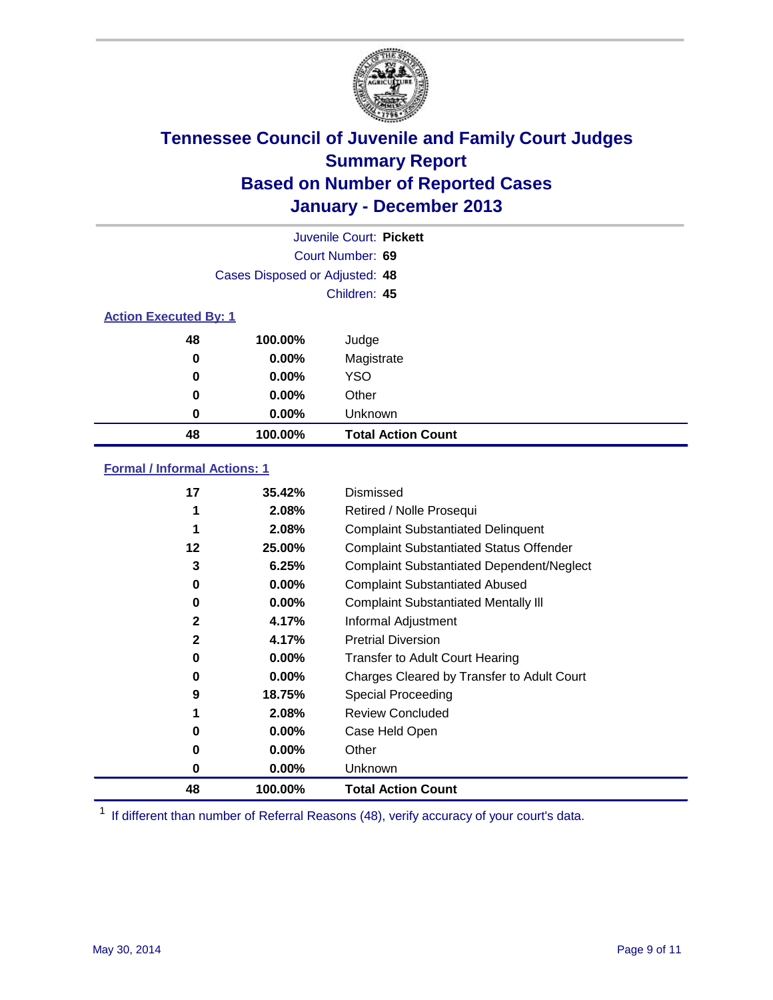

|                              |                                | Juvenile Court: Pickett   |
|------------------------------|--------------------------------|---------------------------|
|                              |                                | Court Number: 69          |
|                              | Cases Disposed or Adjusted: 48 |                           |
|                              |                                | Children: 45              |
| <b>Action Executed By: 1</b> |                                |                           |
| 48                           | 100.00%                        | Judge                     |
| 0                            | $0.00\%$                       | Magistrate                |
| 0                            | $0.00\%$                       | <b>YSO</b>                |
| 0                            | $0.00\%$                       | Other                     |
| 0                            | $0.00\%$                       | Unknown                   |
| 48                           | 100.00%                        | <b>Total Action Count</b> |

### **Formal / Informal Actions: 1**

| 17           | 35.42%   | Dismissed                                        |
|--------------|----------|--------------------------------------------------|
| 1            | 2.08%    | Retired / Nolle Prosequi                         |
| 1            | 2.08%    | <b>Complaint Substantiated Delinquent</b>        |
| 12           | 25.00%   | <b>Complaint Substantiated Status Offender</b>   |
| 3            | 6.25%    | <b>Complaint Substantiated Dependent/Neglect</b> |
| 0            | $0.00\%$ | <b>Complaint Substantiated Abused</b>            |
| 0            | $0.00\%$ | <b>Complaint Substantiated Mentally III</b>      |
| 2            | 4.17%    | Informal Adjustment                              |
| $\mathbf{2}$ | 4.17%    | <b>Pretrial Diversion</b>                        |
| 0            | $0.00\%$ | <b>Transfer to Adult Court Hearing</b>           |
| 0            | $0.00\%$ | Charges Cleared by Transfer to Adult Court       |
| 9            | 18.75%   | Special Proceeding                               |
|              | 2.08%    | <b>Review Concluded</b>                          |
| 0            | $0.00\%$ | Case Held Open                                   |
| 0            | $0.00\%$ | Other                                            |
| 0            | $0.00\%$ | Unknown                                          |
| 48           | 100.00%  | <b>Total Action Count</b>                        |

<sup>1</sup> If different than number of Referral Reasons (48), verify accuracy of your court's data.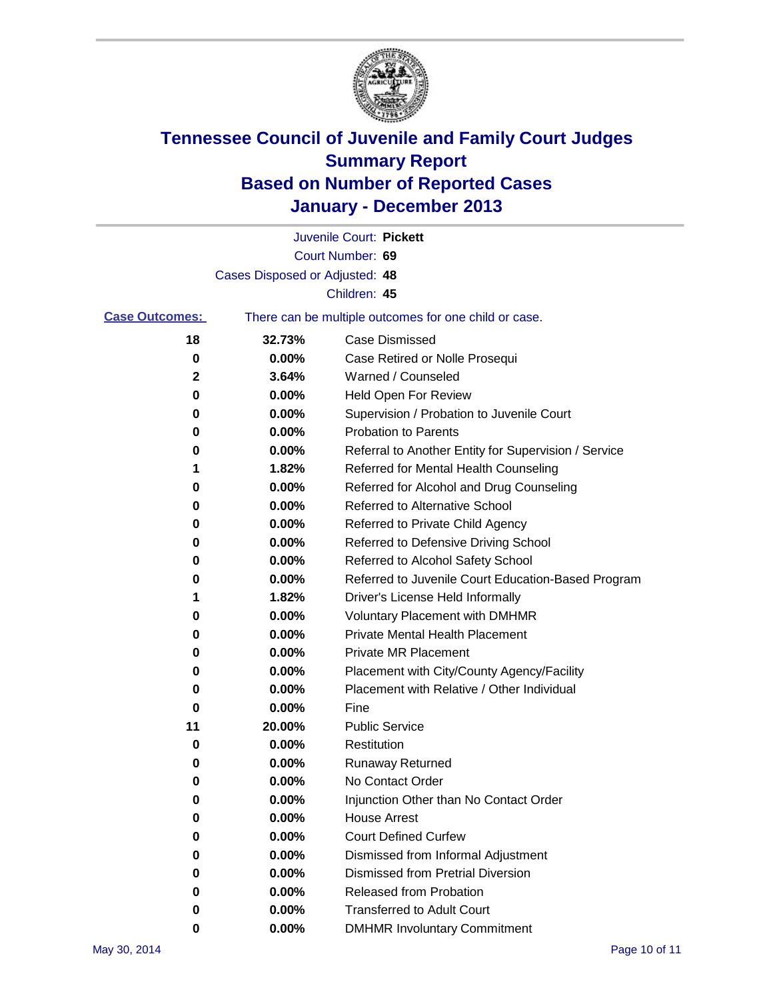

|                       |                                | Juvenile Court: Pickett                               |
|-----------------------|--------------------------------|-------------------------------------------------------|
|                       |                                | Court Number: 69                                      |
|                       | Cases Disposed or Adjusted: 48 |                                                       |
|                       |                                | Children: 45                                          |
| <b>Case Outcomes:</b> |                                | There can be multiple outcomes for one child or case. |
| 18                    | 32.73%                         | <b>Case Dismissed</b>                                 |
| 0                     | 0.00%                          | Case Retired or Nolle Prosequi                        |
| 2                     | 3.64%                          | Warned / Counseled                                    |
| 0                     | 0.00%                          | Held Open For Review                                  |
| 0                     | 0.00%                          | Supervision / Probation to Juvenile Court             |
| 0                     | 0.00%                          | <b>Probation to Parents</b>                           |
| 0                     | 0.00%                          | Referral to Another Entity for Supervision / Service  |
| 1                     | 1.82%                          | Referred for Mental Health Counseling                 |
| 0                     | 0.00%                          | Referred for Alcohol and Drug Counseling              |
| 0                     | 0.00%                          | <b>Referred to Alternative School</b>                 |
| 0                     | 0.00%                          | Referred to Private Child Agency                      |
| 0                     | 0.00%                          | Referred to Defensive Driving School                  |
| 0                     | 0.00%                          | Referred to Alcohol Safety School                     |
| 0                     | 0.00%                          | Referred to Juvenile Court Education-Based Program    |
| 1                     | 1.82%                          | Driver's License Held Informally                      |
| 0                     | 0.00%                          | <b>Voluntary Placement with DMHMR</b>                 |
| 0                     | 0.00%                          | <b>Private Mental Health Placement</b>                |
| 0                     | 0.00%                          | <b>Private MR Placement</b>                           |
| 0                     | 0.00%                          | Placement with City/County Agency/Facility            |
| 0                     | 0.00%                          | Placement with Relative / Other Individual            |
| 0                     | 0.00%                          | Fine                                                  |
| 11                    | 20.00%                         | <b>Public Service</b>                                 |
| 0                     | 0.00%                          | Restitution                                           |
| 0                     | 0.00%                          | <b>Runaway Returned</b>                               |
| 0                     | 0.00%                          | No Contact Order                                      |
| 0                     | 0.00%                          | Injunction Other than No Contact Order                |
| 0                     | 0.00%                          | <b>House Arrest</b>                                   |
| 0                     | 0.00%                          | <b>Court Defined Curfew</b>                           |
| 0                     | 0.00%                          | Dismissed from Informal Adjustment                    |
| 0                     | 0.00%                          | <b>Dismissed from Pretrial Diversion</b>              |
| 0                     | 0.00%                          | Released from Probation                               |
| 0                     | 0.00%                          | <b>Transferred to Adult Court</b>                     |
| 0                     | 0.00%                          | <b>DMHMR Involuntary Commitment</b>                   |